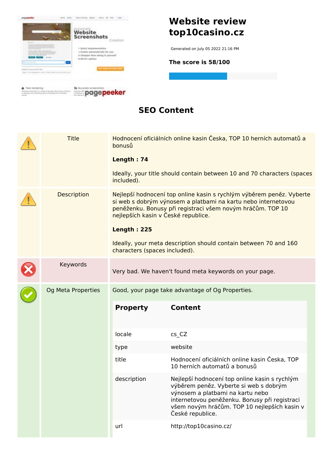

#### **SEO Content**

|  | <b>Title</b>       | bonusů<br>Length: 74<br>included).                                                                                                                                                                                                                                                                                                                                    | Hodnocení oficiálních online kasin Česka, TOP 10 herních automatů a<br>Ideally, your title should contain between 10 and 70 characters (spaces                                                                                                   |  |  |
|--|--------------------|-----------------------------------------------------------------------------------------------------------------------------------------------------------------------------------------------------------------------------------------------------------------------------------------------------------------------------------------------------------------------|--------------------------------------------------------------------------------------------------------------------------------------------------------------------------------------------------------------------------------------------------|--|--|
|  | Description        | Nejlepší hodnocení top online kasin s rychlým výběrem peněz. Vyberte<br>si web s dobrým výnosem a platbami na kartu nebo internetovou<br>peněženku. Bonusy při registraci všem novým hráčům. TOP 10<br>nejlepších kasin v České republice.<br><b>Length: 225</b><br>Ideally, your meta description should contain between 70 and 160<br>characters (spaces included). |                                                                                                                                                                                                                                                  |  |  |
|  | Keywords           | Very bad. We haven't found meta keywords on your page.                                                                                                                                                                                                                                                                                                                |                                                                                                                                                                                                                                                  |  |  |
|  | Og Meta Properties | Good, your page take advantage of Og Properties.                                                                                                                                                                                                                                                                                                                      |                                                                                                                                                                                                                                                  |  |  |
|  |                    | <b>Property</b>                                                                                                                                                                                                                                                                                                                                                       | <b>Content</b>                                                                                                                                                                                                                                   |  |  |
|  |                    | locale                                                                                                                                                                                                                                                                                                                                                                | $cs_CZ$                                                                                                                                                                                                                                          |  |  |
|  |                    | type                                                                                                                                                                                                                                                                                                                                                                  | website                                                                                                                                                                                                                                          |  |  |
|  |                    | title                                                                                                                                                                                                                                                                                                                                                                 | Hodnocení oficiálních online kasin Česka, TOP<br>10 herních automatů a bonusů                                                                                                                                                                    |  |  |
|  |                    | description                                                                                                                                                                                                                                                                                                                                                           | Nejlepší hodnocení top online kasin s rychlým<br>výběrem peněz. Vyberte si web s dobrým<br>výnosem a platbami na kartu nebo<br>internetovou peněženku. Bonusy při registraci<br>všem novým hráčům. TOP 10 nejlepších kasin v<br>České republice. |  |  |
|  |                    | url                                                                                                                                                                                                                                                                                                                                                                   | http://top10casino.cz/                                                                                                                                                                                                                           |  |  |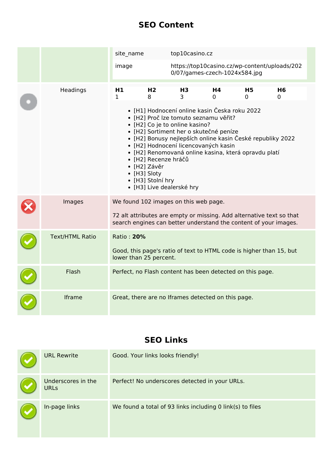#### **SEO Content**

|                        | site name<br>image                                        |                                                                              | top10casino.cz                                                                                                                                                                                                                                                                                                                                                                       |         |                |                                                                                                                                          |
|------------------------|-----------------------------------------------------------|------------------------------------------------------------------------------|--------------------------------------------------------------------------------------------------------------------------------------------------------------------------------------------------------------------------------------------------------------------------------------------------------------------------------------------------------------------------------------|---------|----------------|------------------------------------------------------------------------------------------------------------------------------------------|
|                        |                                                           |                                                                              | https://top10casino.cz/wp-content/uploads/202<br>0/07/games-czech-1024x584.jpg                                                                                                                                                                                                                                                                                                       |         |                |                                                                                                                                          |
| Headings               | H1<br>1<br>• [H3] Sloty                                   | H2<br>8<br>· [H2] Recenze hráčů<br>$\bullet$ [H2] Závěr<br>• [H3] Stolní hry | H <sub>3</sub><br>3<br>• [H1] Hodnocení online kasin Česka roku 2022<br>· [H2] Proč lze tomuto seznamu věřit?<br>• [H2] Co je to online kasino?<br>· [H2] Sortiment her o skutečné peníze<br>• [H2] Bonusy nejlepších online kasin České republiky 2022<br>· [H2] Hodnocení licencovaných kasin<br>· [H2] Renomovaná online kasina, která opravdu platí<br>• [H3] Live dealerské hry | H4<br>0 | <b>H5</b><br>0 | H <sub>6</sub><br>0                                                                                                                      |
| Images                 | We found 102 images on this web page.                     |                                                                              |                                                                                                                                                                                                                                                                                                                                                                                      |         |                | 72 alt attributes are empty or missing. Add alternative text so that<br>search engines can better understand the content of your images. |
| <b>Text/HTML Ratio</b> | Ratio: 20%<br>lower than 25 percent.                      |                                                                              |                                                                                                                                                                                                                                                                                                                                                                                      |         |                | Good, this page's ratio of text to HTML code is higher than 15, but                                                                      |
| Flash                  | Perfect, no Flash content has been detected on this page. |                                                                              |                                                                                                                                                                                                                                                                                                                                                                                      |         |                |                                                                                                                                          |
| Iframe                 | Great, there are no Iframes detected on this page.        |                                                                              |                                                                                                                                                                                                                                                                                                                                                                                      |         |                |                                                                                                                                          |

## **SEO Links**

| <b>URL Rewrite</b>                | Good. Your links looks friendly!                          |
|-----------------------------------|-----------------------------------------------------------|
| Underscores in the<br><b>URLs</b> | Perfect! No underscores detected in your URLs.            |
| In-page links                     | We found a total of 93 links including 0 link(s) to files |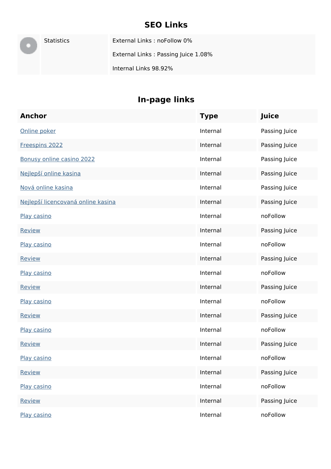### **SEO Links**

Statistics External Links : noFollow 0% External Links : Passing Juice 1.08% Internal Links 98.92%

### **In-page links**

| <b>Anchor</b>                      | <b>Type</b> | Juice         |
|------------------------------------|-------------|---------------|
| Online poker                       | Internal    | Passing Juice |
| Freespins 2022                     | Internal    | Passing Juice |
| Bonusy online casino 2022          | Internal    | Passing Juice |
| Nejlepší online kasina             | Internal    | Passing Juice |
| Nová online kasina                 | Internal    | Passing Juice |
| Nejlepší licencovaná online kasina | Internal    | Passing Juice |
| Play casino                        | Internal    | noFollow      |
| <b>Review</b>                      | Internal    | Passing Juice |
| Play casino                        | Internal    | noFollow      |
| <b>Review</b>                      | Internal    | Passing Juice |
| Play casino                        | Internal    | noFollow      |
| Review                             | Internal    | Passing Juice |
| Play casino                        | Internal    | noFollow      |
| <b>Review</b>                      | Internal    | Passing Juice |
| Play casino                        | Internal    | noFollow      |
| Review                             | Internal    | Passing Juice |
| Play casino                        | Internal    | noFollow      |
| Review                             | Internal    | Passing Juice |
| Play casino                        | Internal    | noFollow      |
| Review                             | Internal    | Passing Juice |
| Play casino                        | Internal    | noFollow      |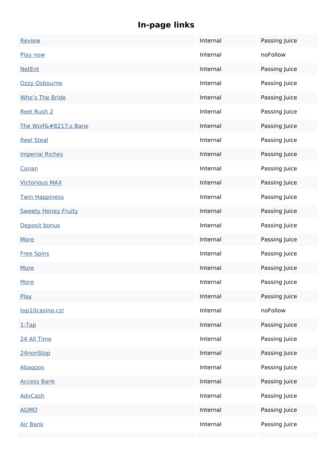# **In-page links**

| Review                     | Internal | Passing Juice |
|----------------------------|----------|---------------|
| Play now                   | Internal | noFollow      |
| <b>NetEnt</b>              | Internal | Passing Juice |
| Ozzy Osbourne              | Internal | Passing Juice |
| Who's The Bride            | Internal | Passing Juice |
| <b>Reel Rush 2</b>         | Internal | Passing Juice |
| The Wolf's Bane            | Internal | Passing Juice |
| <b>Reel Steal</b>          | Internal | Passing Juice |
| <b>Imperial Riches</b>     | Internal | Passing Juice |
| Conan                      | Internal | Passing Juice |
| <b>Victorious MAX</b>      | Internal | Passing Juice |
| <b>Twin Happiness</b>      | Internal | Passing Juice |
| <b>Sweety Honey Fruity</b> | Internal | Passing Juice |
| Deposit bonus              | Internal | Passing Juice |
| More                       | Internal | Passing Juice |
| <b>Free Spins</b>          | Internal | Passing Juice |
| More                       | Internal | Passing Juice |
| More                       | Internal | Passing Juice |
| Play                       | Internal | Passing Juice |
| top10casino.cz/            | Internal | noFollow      |
| $1-Tap$                    | Internal | Passing Juice |
| 24 All Time                | Internal | Passing Juice |
| 24nonStop                  | Internal | Passing Juice |
| Abagoos                    | Internal | Passing Juice |
| <b>Access Bank</b>         | Internal | Passing Juice |
| <b>AdvCash</b>             | Internal | Passing Juice |
| <b>AGMO</b>                | Internal | Passing Juice |
| <b>Air Bank</b>            | Internal | Passing Juice |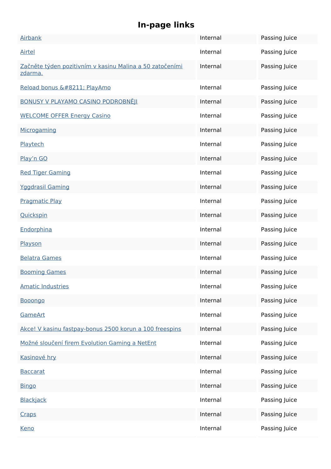# **In-page links**

| Airbank                                                             | Internal | Passing Juice |
|---------------------------------------------------------------------|----------|---------------|
| <b>Airtel</b>                                                       | Internal | Passing Juice |
| Začněte týden pozitivním v kasinu Malina a 50 zatočeními<br>zdarma. | Internal | Passing Juice |
| Reload bonus – PlayAmo                                              | Internal | Passing Juice |
| <b>BONUSY V PLAYAMO CASINO PODROBNĚII</b>                           | Internal | Passing Juice |
| <b>WELCOME OFFER Energy Casino</b>                                  | Internal | Passing Juice |
| Microgaming                                                         | Internal | Passing Juice |
| Playtech                                                            | Internal | Passing Juice |
| Play'n GO                                                           | Internal | Passing Juice |
| <b>Red Tiger Gaming</b>                                             | Internal | Passing Juice |
| <b>Yggdrasil Gaming</b>                                             | Internal | Passing Juice |
| Pragmatic Play                                                      | Internal | Passing Juice |
| Quickspin                                                           | Internal | Passing Juice |
| Endorphina                                                          | Internal | Passing Juice |
| Playson                                                             | Internal | Passing Juice |
| <b>Belatra Games</b>                                                | Internal | Passing Juice |
| <b>Booming Games</b>                                                | Internal | Passing Juice |
| <b>Amatic Industries</b>                                            | Internal | Passing Juice |
| <b>Booongo</b>                                                      | Internal | Passing Juice |
| GameArt                                                             | Internal | Passing Juice |
| Akce! V kasinu fastpay-bonus 2500 korun a 100 freespins             | Internal | Passing Juice |
| Možné sloučení firem Evolution Gaming a NetEnt                      | Internal | Passing Juice |
| Kasinové hry                                                        | Internal | Passing Juice |
| <b>Baccarat</b>                                                     | Internal | Passing Juice |
| <b>Bingo</b>                                                        | Internal | Passing Juice |
| <b>Blackjack</b>                                                    | Internal | Passing Juice |
| Craps                                                               | Internal | Passing Juice |
| <b>Keno</b>                                                         | Internal | Passing Juice |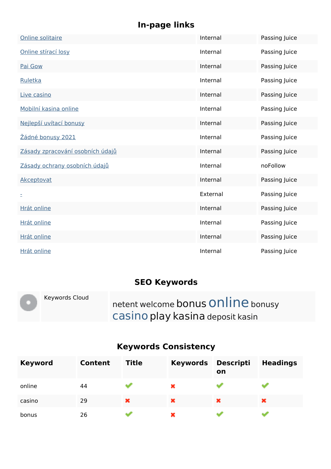## **In-page links**

| Online solitaire                 | Internal | Passing Juice |
|----------------------------------|----------|---------------|
| Online stírací losy              | Internal | Passing Juice |
| Pai Gow                          | Internal | Passing Juice |
| Ruletka                          | Internal | Passing Juice |
| Live casino                      | Internal | Passing Juice |
| Mobilní kasina online            | Internal | Passing Juice |
| Nejlepší uvítací bonusy          | Internal | Passing Juice |
| <u>Žádné bonusy 2021</u>         | Internal | Passing Juice |
| Zásady zpracování osobních údajů | Internal | Passing Juice |
| Zásady ochrany osobních údajů    | Internal | noFollow      |
| Akceptovat                       | Internal | Passing Juice |
| Ξ                                | External | Passing Juice |
| Hrát online                      | Internal | Passing Juice |
| Hrát online                      | Internal | Passing Juice |
| Hrát online                      | Internal | Passing Juice |
| Hrát online                      | Internal | Passing Juice |

## **SEO Keywords**

| Keywords Cloud | netent welcome bonus ONINE bonusy |
|----------------|-----------------------------------|
|                | casino play kasina deposit kasin  |

# **Keywords Consistency**

| <b>Keyword</b> | <b>Content</b> | <b>Title</b> | <b>Keywords</b> | <b>Descripti</b><br>on | <b>Headings</b> |
|----------------|----------------|--------------|-----------------|------------------------|-----------------|
| online         | 44             |              | ×               |                        |                 |
| casino         | 29             | ж            | ×               | ×                      | ×               |
| bonus          | 26             |              | ×               |                        |                 |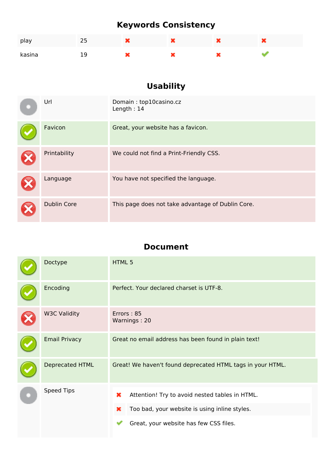## **Keywords Consistency**

| play   | <u>. .</u> | فالمناقذ           |              | <b>STAR</b> | um a |
|--------|------------|--------------------|--------------|-------------|------|
| kasina | --         | والمرابقة<br>10000 | <b>STATE</b> | <b>STAR</b> |      |

## **Usability**

| Url                | Domain: top10casino.cz<br>Length: $14$            |
|--------------------|---------------------------------------------------|
| Favicon            | Great, your website has a favicon.                |
| Printability       | We could not find a Print-Friendly CSS.           |
| Language           | You have not specified the language.              |
| <b>Dublin Core</b> | This page does not take advantage of Dublin Core. |

#### **Document**

| Doctype              | HTML 5                                                                                                    |  |  |  |
|----------------------|-----------------------------------------------------------------------------------------------------------|--|--|--|
| Encoding             | Perfect. Your declared charset is UTF-8.                                                                  |  |  |  |
| <b>W3C Validity</b>  | Errors: 85<br>Warnings: 20                                                                                |  |  |  |
| <b>Email Privacy</b> | Great no email address has been found in plain text!                                                      |  |  |  |
| Deprecated HTML      | Great! We haven't found deprecated HTML tags in your HTML.                                                |  |  |  |
| <b>Speed Tips</b>    | ×<br>Attention! Try to avoid nested tables in HTML.<br>Too bad, your website is using inline styles.<br>× |  |  |  |
|                      | Great, your website has few CSS files.                                                                    |  |  |  |